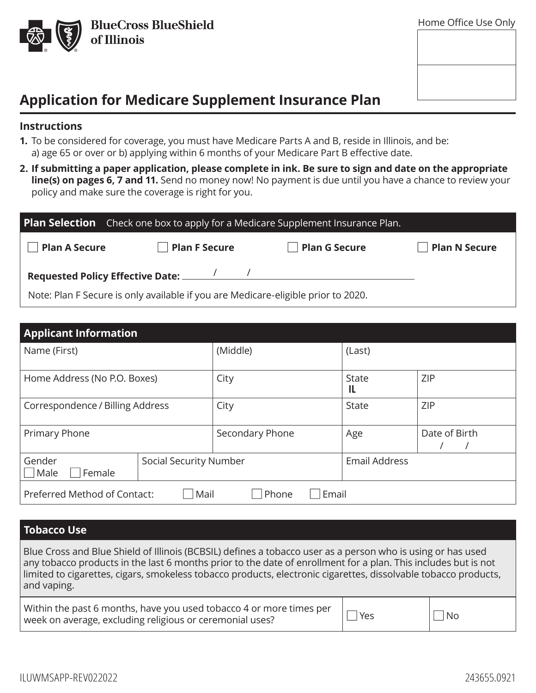

| ו וטוווט טוווטג טאט טווואָ |  |
|----------------------------|--|
|                            |  |
|                            |  |
|                            |  |
|                            |  |
|                            |  |
|                            |  |
|                            |  |
|                            |  |
|                            |  |
|                            |  |
|                            |  |
|                            |  |

## **Application for Medicare Supplement Insurance Plan**

#### **Instructions**

- **1.** To be considered for coverage, you must have Medicare Parts A and B, reside in Illinois, and be: a) age 65 or over or b) applying within 6 months of your Medicare Part B effective date.
- **2. If submitting a paper application, please complete in ink. Be sure to sign and date on the appropriate**  line(s) on pages 6, 7 and 11. Send no money now! No payment is due until you have a chance to review your policy and make sure the coverage is right for you.

|                                                                                   | <b>Plan Selection</b> Check one box to apply for a Medicare Supplement Insurance Plan. |                      |                      |
|-----------------------------------------------------------------------------------|----------------------------------------------------------------------------------------|----------------------|----------------------|
| <b>Plan A Secure</b>                                                              | <b>Plan F Secure</b>                                                                   | <b>Plan G Secure</b> | <b>Plan N Secure</b> |
|                                                                                   |                                                                                        |                      |                      |
| Note: Plan F Secure is only available if you are Medicare-eligible prior to 2020. |                                                                                        |                      |                      |

| <b>Applicant Information</b>                           |                        |                 |                      |               |
|--------------------------------------------------------|------------------------|-----------------|----------------------|---------------|
| Name (First)                                           |                        | (Middle)        | (Last)               |               |
| Home Address (No P.O. Boxes)                           |                        | City            | State<br>IL          | <b>ZIP</b>    |
| Correspondence / Billing Address                       |                        | City            | <b>State</b>         | <b>ZIP</b>    |
| Primary Phone                                          |                        | Secondary Phone | Age                  | Date of Birth |
| Gender<br>Male<br>Female                               | Social Security Number |                 | <b>Email Address</b> |               |
| Preferred Method of Contact:<br>Email<br>Mail<br>Phone |                        |                 |                      |               |

### **Tobacco Use**

Blue Cross and Blue Shield of Illinois (BCBSIL) defines a tobacco user as a person who is using or has used any tobacco products in the last 6 months prior to the date of enrollment for a plan. This includes but is not limited to cigarettes, cigars, smokeless tobacco products, electronic cigarettes, dissolvable tobacco products, and vaping.

| Within the past 6 months, have you used tobacco 4 or more times per $\Box$ Yes |           |
|--------------------------------------------------------------------------------|-----------|
| week on average, excluding religious or ceremonial uses?                       | $\Box$ No |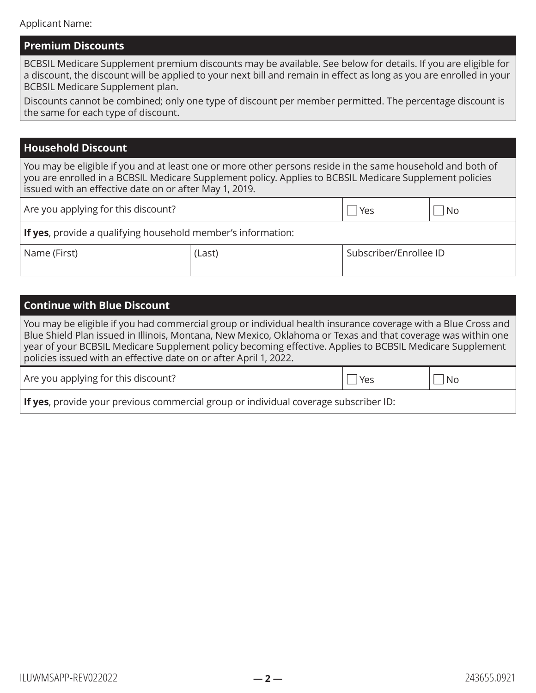#### **Premium Discounts**

BCBSIL Medicare Supplement premium discounts may be available. See below for details. If you are eligible for a discount, the discount will be applied to your next bill and remain in effect as long as you are enrolled in your BCBSIL Medicare Supplement plan.

Discounts cannot be combined; only one type of discount per member permitted. The percentage discount is the same for each type of discount.

#### **Household Discount**

You may be eligible if you and at least one or more other persons reside in the same household and both of you are enrolled in a BCBSIL Medicare Supplement policy. Applies to BCBSIL Medicare Supplement policies issued with an effective date on or after May 1, 2019.

| Are you applying for this discount?                                  |        | Yes                    | No. |
|----------------------------------------------------------------------|--------|------------------------|-----|
| <b>If yes</b> , provide a qualifying household member's information: |        |                        |     |
| Name (First)                                                         | (Last) | Subscriber/Enrollee ID |     |

### **Continue with Blue Discount**

You may be eligible if you had commercial group or individual health insurance coverage with a Blue Cross and Blue Shield Plan issued in Illinois, Montana, New Mexico, Oklahoma or Texas and that coverage was within one year of your BCBSIL Medicare Supplement policy becoming effective. Applies to BCBSIL Medicare Supplement policies issued with an effective date on or after April 1, 2022.

| Are you applying for this discount? | $  $ Yes | $\mathsf{l} \mathsf{l}$ No |
|-------------------------------------|----------|----------------------------|
|-------------------------------------|----------|----------------------------|

**If yes**, provide your previous commercial group or individual coverage subscriber ID: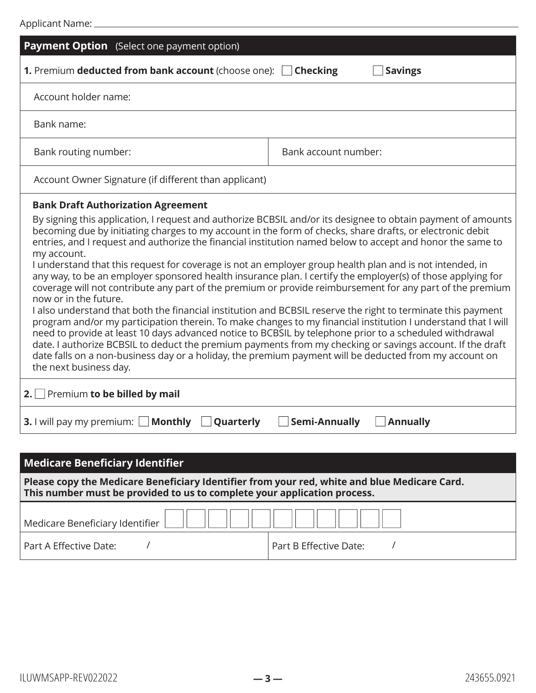| <b>Payment Option</b> (Select one payment option)                                                                                                                                                                                                                                                                                                                                                                                                                                                                                                                                                                                                                                                                                                                                                                                                                                                      |                                                                                                                                                                                                                                                                                                                                                                                                                                                         |
|--------------------------------------------------------------------------------------------------------------------------------------------------------------------------------------------------------------------------------------------------------------------------------------------------------------------------------------------------------------------------------------------------------------------------------------------------------------------------------------------------------------------------------------------------------------------------------------------------------------------------------------------------------------------------------------------------------------------------------------------------------------------------------------------------------------------------------------------------------------------------------------------------------|---------------------------------------------------------------------------------------------------------------------------------------------------------------------------------------------------------------------------------------------------------------------------------------------------------------------------------------------------------------------------------------------------------------------------------------------------------|
| 1. Premium deducted from bank account (choose one): Checking                                                                                                                                                                                                                                                                                                                                                                                                                                                                                                                                                                                                                                                                                                                                                                                                                                           | <b>Savings</b>                                                                                                                                                                                                                                                                                                                                                                                                                                          |
| Account holder name:                                                                                                                                                                                                                                                                                                                                                                                                                                                                                                                                                                                                                                                                                                                                                                                                                                                                                   |                                                                                                                                                                                                                                                                                                                                                                                                                                                         |
| Bank name:                                                                                                                                                                                                                                                                                                                                                                                                                                                                                                                                                                                                                                                                                                                                                                                                                                                                                             |                                                                                                                                                                                                                                                                                                                                                                                                                                                         |
| Bank routing number:                                                                                                                                                                                                                                                                                                                                                                                                                                                                                                                                                                                                                                                                                                                                                                                                                                                                                   | Bank account number:                                                                                                                                                                                                                                                                                                                                                                                                                                    |
| Account Owner Signature (if different than applicant)                                                                                                                                                                                                                                                                                                                                                                                                                                                                                                                                                                                                                                                                                                                                                                                                                                                  |                                                                                                                                                                                                                                                                                                                                                                                                                                                         |
| <b>Bank Draft Authorization Agreement</b><br>becoming due by initiating charges to my account in the form of checks, share drafts, or electronic debit<br>entries, and I request and authorize the financial institution named below to accept and honor the same to<br>my account.<br>I understand that this request for coverage is not an employer group health plan and is not intended, in<br>any way, to be an employer sponsored health insurance plan. I certify the employer(s) of those applying for<br>now or in the future.<br>I also understand that both the financial institution and BCBSIL reserve the right to terminate this payment<br>need to provide at least 10 days advanced notice to BCBSIL by telephone prior to a scheduled withdrawal<br>date falls on a non-business day or a holiday, the premium payment will be deducted from my account on<br>the next business day. | By signing this application, I request and authorize BCBSIL and/or its designee to obtain payment of amounts<br>coverage will not contribute any part of the premium or provide reimbursement for any part of the premium<br>program and/or my participation therein. To make changes to my financial institution I understand that I will<br>date. I authorize BCBSIL to deduct the premium payments from my checking or savings account. If the draft |
| 2. Premium to be billed by mail                                                                                                                                                                                                                                                                                                                                                                                                                                                                                                                                                                                                                                                                                                                                                                                                                                                                        |                                                                                                                                                                                                                                                                                                                                                                                                                                                         |
| <b>Monthly</b><br>Quarterly<br><b>3.</b> I will pay my premium: $\Box$                                                                                                                                                                                                                                                                                                                                                                                                                                                                                                                                                                                                                                                                                                                                                                                                                                 | <b>Semi-Annually</b><br><b>Annually</b>                                                                                                                                                                                                                                                                                                                                                                                                                 |
|                                                                                                                                                                                                                                                                                                                                                                                                                                                                                                                                                                                                                                                                                                                                                                                                                                                                                                        |                                                                                                                                                                                                                                                                                                                                                                                                                                                         |

| <b>Medicare Beneficiary Identifier</b>                                                                                                                                   |                        |  |  |
|--------------------------------------------------------------------------------------------------------------------------------------------------------------------------|------------------------|--|--|
| Please copy the Medicare Beneficiary Identifier from your red, white and blue Medicare Card.<br>This number must be provided to us to complete your application process. |                        |  |  |
| Medicare Beneficiary Identifier  ___   ___   ___   ___   ___   ___   ___   ___   ___   ___   ___   _                                                                     |                        |  |  |
| Part A Effective Date:                                                                                                                                                   | Part B Effective Date: |  |  |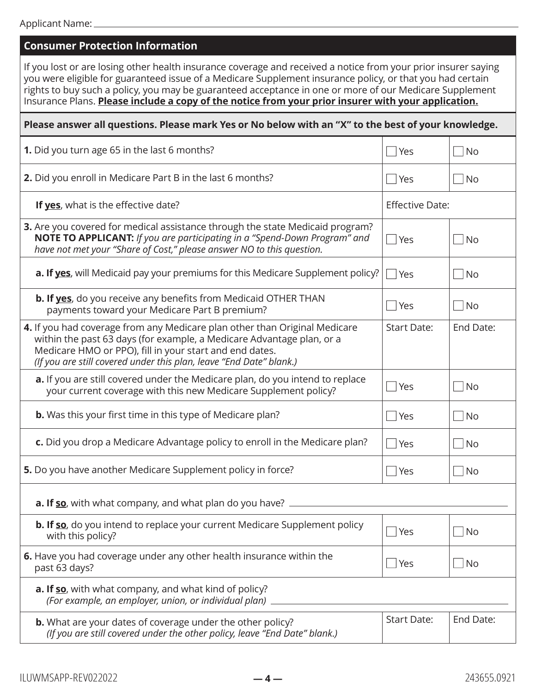| <b>Consumer Protection Information</b>                                                                                                                                                                                                                                                                                                                                                                                                        |                           |           |  |
|-----------------------------------------------------------------------------------------------------------------------------------------------------------------------------------------------------------------------------------------------------------------------------------------------------------------------------------------------------------------------------------------------------------------------------------------------|---------------------------|-----------|--|
| If you lost or are losing other health insurance coverage and received a notice from your prior insurer saying<br>you were eligible for guaranteed issue of a Medicare Supplement insurance policy, or that you had certain<br>rights to buy such a policy, you may be guaranteed acceptance in one or more of our Medicare Supplement<br>Insurance Plans. Please include a copy of the notice from your prior insurer with your application. |                           |           |  |
| Please answer all questions. Please mark Yes or No below with an "X" to the best of your knowledge.                                                                                                                                                                                                                                                                                                                                           |                           |           |  |
| <b>1.</b> Did you turn age 65 in the last 6 months?                                                                                                                                                                                                                                                                                                                                                                                           | <b>Yes</b>                | <b>No</b> |  |
| 2. Did you enroll in Medicare Part B in the last 6 months?                                                                                                                                                                                                                                                                                                                                                                                    | <b>P</b> Yes              | No.       |  |
| If yes, what is the effective date?                                                                                                                                                                                                                                                                                                                                                                                                           | <b>Effective Date:</b>    |           |  |
| 3. Are you covered for medical assistance through the state Medicaid program?<br>NOTE TO APPLICANT: If you are participating in a "Spend-Down Program" and<br>have not met your "Share of Cost," please answer NO to this question.                                                                                                                                                                                                           | Yes                       | No        |  |
| a. If yes, will Medicaid pay your premiums for this Medicare Supplement policy?                                                                                                                                                                                                                                                                                                                                                               | $ $ Yes                   | No        |  |
| <b>b. If yes</b> , do you receive any benefits from Medicaid OTHER THAN<br>payments toward your Medicare Part B premium?                                                                                                                                                                                                                                                                                                                      | Yes                       | <b>No</b> |  |
| 4. If you had coverage from any Medicare plan other than Original Medicare<br>within the past 63 days (for example, a Medicare Advantage plan, or a<br>Medicare HMO or PPO), fill in your start and end dates.<br>(If you are still covered under this plan, leave "End Date" blank.)                                                                                                                                                         | <b>Start Date:</b>        | End Date: |  |
| a. If you are still covered under the Medicare plan, do you intend to replace<br>your current coverage with this new Medicare Supplement policy?                                                                                                                                                                                                                                                                                              | <b>P</b> Yes              | No        |  |
| <b>b.</b> Was this your first time in this type of Medicare plan?                                                                                                                                                                                                                                                                                                                                                                             | Yes                       | No        |  |
| c. Did you drop a Medicare Advantage policy to enroll in the Medicare plan?                                                                                                                                                                                                                                                                                                                                                                   | Yes                       | No        |  |
| 5. Do you have another Medicare Supplement policy in force?                                                                                                                                                                                                                                                                                                                                                                                   | Yes                       | <b>No</b> |  |
| <b>a. If so</b> , with what company, and what plan do you have?                                                                                                                                                                                                                                                                                                                                                                               |                           |           |  |
| <b>b. If so</b> , do you intend to replace your current Medicare Supplement policy<br>with this policy?                                                                                                                                                                                                                                                                                                                                       | $\lceil \cdot \rceil$ Yes | <b>No</b> |  |
| 6. Have you had coverage under any other health insurance within the<br>past 63 days?                                                                                                                                                                                                                                                                                                                                                         | Yes                       | <b>No</b> |  |
| <b>a. If so</b> , with what company, and what kind of policy?<br>(For example, an employer, union, or individual plan).                                                                                                                                                                                                                                                                                                                       |                           |           |  |
| <b>b.</b> What are your dates of coverage under the other policy?<br>(If you are still covered under the other policy, leave "End Date" blank.)                                                                                                                                                                                                                                                                                               | <b>Start Date:</b>        | End Date: |  |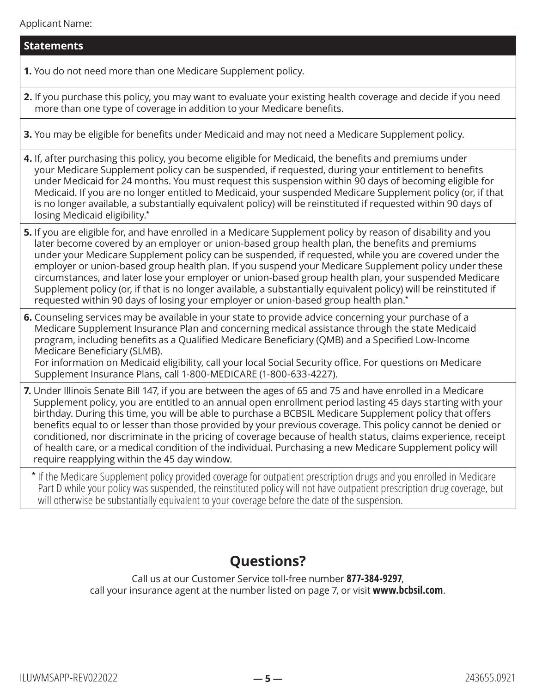#### Applicant Name:

#### **Statements**

**1.** You do not need more than one Medicare Supplement policy.

- **2.** If you purchase this policy, you may want to evaluate your existing health coverage and decide if you need more than one type of coverage in addition to your Medicare benefits.
- **3.** You may be eligible for benefits under Medicaid and may not need a Medicare Supplement policy.

**4.** If, after purchasing this policy, you become eligible for Medicaid, the benefits and premiums under your Medicare Supplement policy can be suspended, if requested, during your entitlement to benefits under Medicaid for 24 months. You must request this suspension within 90 days of becoming eligible for Medicaid. If you are no longer entitled to Medicaid, your suspended Medicare Supplement policy (or, if that is no longer available, a substantially equivalent policy) will be reinstituted if requested within 90 days of losing Medicaid eligibility.**\***

- **5.** If you are eligible for, and have enrolled in a Medicare Supplement policy by reason of disability and you later become covered by an employer or union-based group health plan, the benefits and premiums under your Medicare Supplement policy can be suspended, if requested, while you are covered under the employer or union-based group health plan. If you suspend your Medicare Supplement policy under these circumstances, and later lose your employer or union-based group health plan, your suspended Medicare Supplement policy (or, if that is no longer available, a substantially equivalent policy) will be reinstituted if requested within 90 days of losing your employer or union-based group health plan.**\***
- **6.** Counseling services may be available in your state to provide advice concerning your purchase of a Medicare Supplement Insurance Plan and concerning medical assistance through the state Medicaid program, including benefits as a Qualified Medicare Beneficiary (QMB) and a Specified Low-Income Medicare Beneficiary (SLMB).

For information on Medicaid eligibility, call your local Social Security office. For questions on Medicare Supplement Insurance Plans, call 1-800-MEDICARE (1-800-633-4227).

**7.** Under Illinois Senate Bill 147, if you are between the ages of 65 and 75 and have enrolled in a Medicare Supplement policy, you are entitled to an annual open enrollment period lasting 45 days starting with your birthday. During this time, you will be able to purchase a BCBSIL Medicare Supplement policy that offers benefits equal to or lesser than those provided by your previous coverage. This policy cannot be denied or conditioned, nor discriminate in the pricing of coverage because of health status, claims experience, receipt of health care, or a medical condition of the individual. Purchasing a new Medicare Supplement policy will require reapplying within the 45 day window.

**\*** If the Medicare Supplement policy provided coverage for outpatient prescription drugs and you enrolled in Medicare Part D while your policy was suspended, the reinstituted policy will not have outpatient prescription drug coverage, but will otherwise be substantially equivalent to your coverage before the date of the suspension.

## **Questions?**

Call us at our Customer Service toll-free number **877-384-9297**, call your insurance agent at the number listed on page 7, or visit **[www.bcbsil.com](http://www.bcbsil.com)**.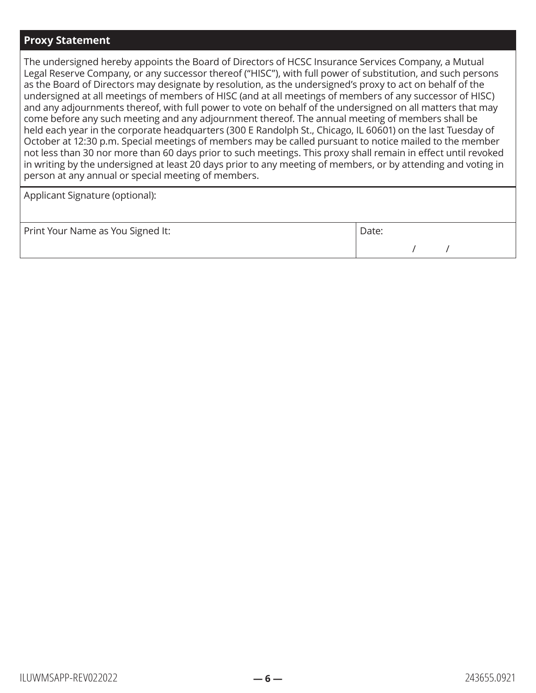#### **Proxy Statement**

The undersigned hereby appoints the Board of Directors of HCSC Insurance Services Company, a Mutual Legal Reserve Company, or any successor thereof ("HISC"), with full power of substitution, and such persons as the Board of Directors may designate by resolution, as the undersigned's proxy to act on behalf of the undersigned at all meetings of members of HISC (and at all meetings of members of any successor of HISC) and any adjournments thereof, with full power to vote on behalf of the undersigned on all matters that may come before any such meeting and any adjournment thereof. The annual meeting of members shall be held each year in the corporate headquarters (300 E Randolph St., Chicago, IL 60601) on the last Tuesday of October at 12:30 p.m. Special meetings of members may be called pursuant to notice mailed to the member not less than 30 nor more than 60 days prior to such meetings. This proxy shall remain in effect until revoked in writing by the undersigned at least 20 days prior to any meeting of members, or by attending and voting in person at any annual or special meeting of members.

Applicant Signature (optional):

| Print Your Name as You Signed It: | Date: |  |  |  |
|-----------------------------------|-------|--|--|--|
|                                   |       |  |  |  |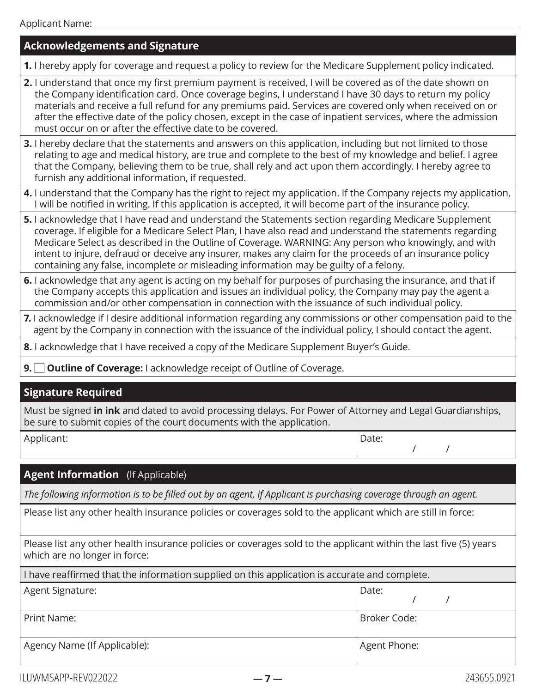## **Acknowledgements and Signature**

**1.** I hereby apply for coverage and request a policy to review for the Medicare Supplement policy indicated.

- **2.** I understand that once my first premium payment is received, I will be covered as of the date shown on the Company identification card. Once coverage begins, I understand I have 30 days to return my policy materials and receive a full refund for any premiums paid. Services are covered only when received on or after the effective date of the policy chosen, except in the case of inpatient services, where the admission must occur on or after the effective date to be covered.
- **3.** I hereby declare that the statements and answers on this application, including but not limited to those relating to age and medical history, are true and complete to the best of my knowledge and belief. I agree that the Company, believing them to be true, shall rely and act upon them accordingly. I hereby agree to furnish any additional information, if requested.
- **4.** I understand that the Company has the right to reject my application. If the Company rejects my application, I will be notified in writing. If this application is accepted, it will become part of the insurance policy.
- **5.** I acknowledge that I have read and understand the Statements section regarding Medicare Supplement coverage. If eligible for a Medicare Select Plan, I have also read and understand the statements regarding Medicare Select as described in the Outline of Coverage. WARNING: Any person who knowingly, and with intent to injure, defraud or deceive any insurer, makes any claim for the proceeds of an insurance policy containing any false, incomplete or misleading information may be guilty of a felony.
- **6.** I acknowledge that any agent is acting on my behalf for purposes of purchasing the insurance, and that if the Company accepts this application and issues an individual policy, the Company may pay the agent a commission and/or other compensation in connection with the issuance of such individual policy.
- **7.** I acknowledge if I desire additional information regarding any commissions or other compensation paid to the agent by the Company in connection with the issuance of the individual policy, I should contact the agent.
- **8.** I acknowledge that I have received a copy of the Medicare Supplement Buyer's Guide.
- **9.**  $\Box$  **Outline of Coverage:** I acknowledge receipt of Outline of Coverage.

## **Signature Required**

Must be signed **in ink** and dated to avoid processing delays. For Power of Attorney and Legal Guardianships, be sure to submit copies of the court documents with the application.

| Applicant: |  | Date: |
|------------|--|-------|
|------------|--|-------|

## **Agent Information** (If Applicable)

*The following information is to be filled out by an agent, if Applicant is purchasing coverage through an agent.*

Please list any other health insurance policies or coverages sold to the applicant which are still in force:

Please list any other health insurance policies or coverages sold to the applicant within the last five (5) years which are no longer in force:

| I have reaffirmed that the information supplied on this application is accurate and complete. |              |  |
|-----------------------------------------------------------------------------------------------|--------------|--|
| Agent Signature:<br>Date:                                                                     |              |  |
| Print Name:                                                                                   | Broker Code: |  |
| Agency Name (If Applicable):                                                                  | Agent Phone: |  |

/ /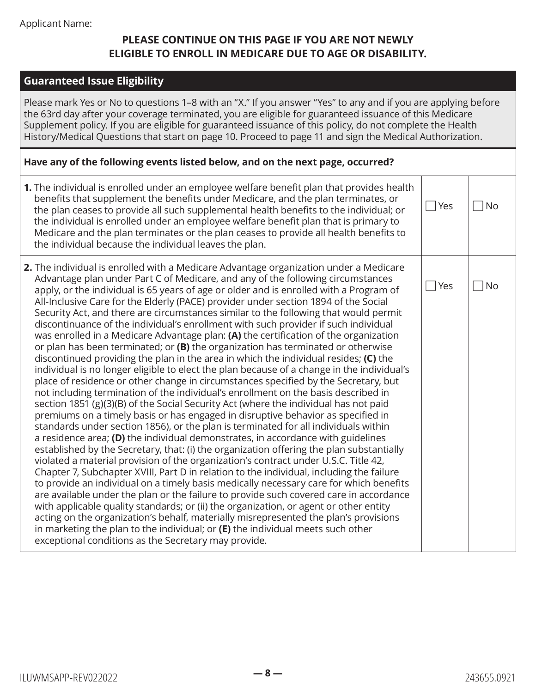## **PLEASE CONTINUE ON THIS PAGE IF YOU ARE NOT NEWLY ELIGIBLE TO ENROLL IN MEDICARE DUE TO AGE OR DISABILITY.**

### **Guaranteed Issue Eligibility**

Please mark Yes or No to questions 1–8 with an "X." If you answer "Yes" to any and if you are applying before the 63rd day after your coverage terminated, you are eligible for guaranteed issuance of this Medicare Supplement policy. If you are eligible for guaranteed issuance of this policy, do not complete the Health History/Medical Questions that start on page 10. Proceed to page 11 and sign the Medical Authorization.

#### **Have any of the following events listed below, and on the next page, occurred?**

| 1. The individual is enrolled under an employee welfare benefit plan that provides health<br>benefits that supplement the benefits under Medicare, and the plan terminates, or<br>the plan ceases to provide all such supplemental health benefits to the individual; or<br>the individual is enrolled under an employee welfare benefit plan that is primary to<br>Medicare and the plan terminates or the plan ceases to provide all health benefits to<br>the individual because the individual leaves the plan.                                                                                                                                                                                                                                                                                                                                                                                                                                                                                                                                                                                                                                                                                                                                                                                                                                                                                                                                                                                                                                                                                                                                                                                                                                                                                                                                                                                                                                                                                                                                                                                                                                                                                                                             | Yes | <b>No</b> |
|-------------------------------------------------------------------------------------------------------------------------------------------------------------------------------------------------------------------------------------------------------------------------------------------------------------------------------------------------------------------------------------------------------------------------------------------------------------------------------------------------------------------------------------------------------------------------------------------------------------------------------------------------------------------------------------------------------------------------------------------------------------------------------------------------------------------------------------------------------------------------------------------------------------------------------------------------------------------------------------------------------------------------------------------------------------------------------------------------------------------------------------------------------------------------------------------------------------------------------------------------------------------------------------------------------------------------------------------------------------------------------------------------------------------------------------------------------------------------------------------------------------------------------------------------------------------------------------------------------------------------------------------------------------------------------------------------------------------------------------------------------------------------------------------------------------------------------------------------------------------------------------------------------------------------------------------------------------------------------------------------------------------------------------------------------------------------------------------------------------------------------------------------------------------------------------------------------------------------------------------------|-----|-----------|
| 2. The individual is enrolled with a Medicare Advantage organization under a Medicare<br>Advantage plan under Part C of Medicare, and any of the following circumstances<br>apply, or the individual is 65 years of age or older and is enrolled with a Program of<br>All-Inclusive Care for the Elderly (PACE) provider under section 1894 of the Social<br>Security Act, and there are circumstances similar to the following that would permit<br>discontinuance of the individual's enrollment with such provider if such individual<br>was enrolled in a Medicare Advantage plan: (A) the certification of the organization<br>or plan has been terminated; or (B) the organization has terminated or otherwise<br>discontinued providing the plan in the area in which the individual resides; (C) the<br>individual is no longer eligible to elect the plan because of a change in the individual's<br>place of residence or other change in circumstances specified by the Secretary, but<br>not including termination of the individual's enrollment on the basis described in<br>section 1851 (g)(3)(B) of the Social Security Act (where the individual has not paid<br>premiums on a timely basis or has engaged in disruptive behavior as specified in<br>standards under section 1856), or the plan is terminated for all individuals within<br>a residence area; (D) the individual demonstrates, in accordance with guidelines<br>established by the Secretary, that: (i) the organization offering the plan substantially<br>violated a material provision of the organization's contract under U.S.C. Title 42,<br>Chapter 7, Subchapter XVIII, Part D in relation to the individual, including the failure<br>to provide an individual on a timely basis medically necessary care for which benefits<br>are available under the plan or the failure to provide such covered care in accordance<br>with applicable quality standards; or (ii) the organization, or agent or other entity<br>acting on the organization's behalf, materially misrepresented the plan's provisions<br>in marketing the plan to the individual; or $(E)$ the individual meets such other<br>exceptional conditions as the Secretary may provide. | Yes | <b>No</b> |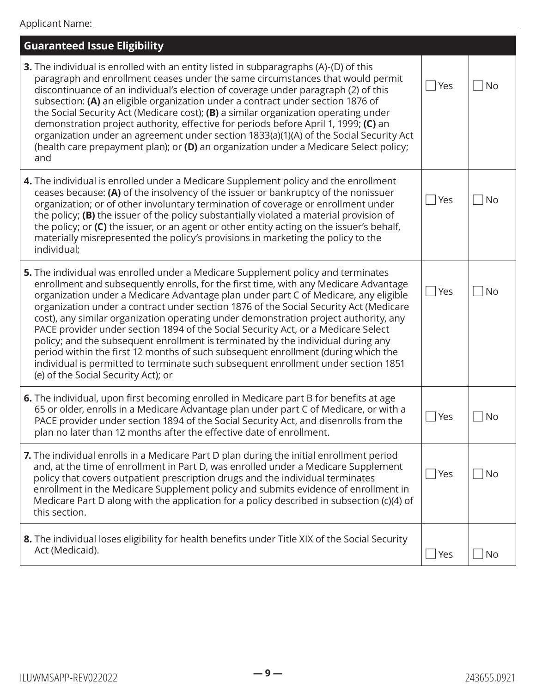| <b>Guaranteed Issue Eligibility</b>                                                                                                                                                                                                                                                                                                                                                                                                                                                                                                                                                                                                                                                                                                                                                                                                         |              |           |
|---------------------------------------------------------------------------------------------------------------------------------------------------------------------------------------------------------------------------------------------------------------------------------------------------------------------------------------------------------------------------------------------------------------------------------------------------------------------------------------------------------------------------------------------------------------------------------------------------------------------------------------------------------------------------------------------------------------------------------------------------------------------------------------------------------------------------------------------|--------------|-----------|
| <b>3.</b> The individual is enrolled with an entity listed in subparagraphs (A)-(D) of this<br>paragraph and enrollment ceases under the same circumstances that would permit<br>discontinuance of an individual's election of coverage under paragraph (2) of this<br>subsection: (A) an eligible organization under a contract under section 1876 of<br>the Social Security Act (Medicare cost); (B) a similar organization operating under<br>demonstration project authority, effective for periods before April 1, 1999; (C) an<br>organization under an agreement under section 1833(a)(1)(A) of the Social Security Act<br>(health care prepayment plan); or (D) an organization under a Medicare Select policy;<br>and                                                                                                              | Yes          | <b>No</b> |
| 4. The individual is enrolled under a Medicare Supplement policy and the enrollment<br>ceases because: (A) of the insolvency of the issuer or bankruptcy of the nonissuer<br>organization; or of other involuntary termination of coverage or enrollment under<br>the policy; (B) the issuer of the policy substantially violated a material provision of<br>the policy; or (C) the issuer, or an agent or other entity acting on the issuer's behalf,<br>materially misrepresented the policy's provisions in marketing the policy to the<br>individual;                                                                                                                                                                                                                                                                                   | Yes          | <b>No</b> |
| 5. The individual was enrolled under a Medicare Supplement policy and terminates<br>enrollment and subsequently enrolls, for the first time, with any Medicare Advantage<br>organization under a Medicare Advantage plan under part C of Medicare, any eligible<br>organization under a contract under section 1876 of the Social Security Act (Medicare<br>cost), any similar organization operating under demonstration project authority, any<br>PACE provider under section 1894 of the Social Security Act, or a Medicare Select<br>policy; and the subsequent enrollment is terminated by the individual during any<br>period within the first 12 months of such subsequent enrollment (during which the<br>individual is permitted to terminate such subsequent enrollment under section 1851<br>(e) of the Social Security Act); or | Yes          | <b>No</b> |
| 6. The individual, upon first becoming enrolled in Medicare part B for benefits at age<br>65 or older, enrolls in a Medicare Advantage plan under part C of Medicare, or with a<br>PACE provider under section 1894 of the Social Security Act, and disenrolls from the<br>plan no later than 12 months after the effective date of enrollment.                                                                                                                                                                                                                                                                                                                                                                                                                                                                                             | Yes          | <b>No</b> |
| 7. The individual enrolls in a Medicare Part D plan during the initial enrollment period<br>and, at the time of enrollment in Part D, was enrolled under a Medicare Supplement<br>policy that covers outpatient prescription drugs and the individual terminates<br>enrollment in the Medicare Supplement policy and submits evidence of enrollment in<br>Medicare Part D along with the application for a policy described in subsection (c)(4) of<br>this section.                                                                                                                                                                                                                                                                                                                                                                        | <b>P</b> Yes | <b>No</b> |
| 8. The individual loses eligibility for health benefits under Title XIX of the Social Security<br>Act (Medicaid).                                                                                                                                                                                                                                                                                                                                                                                                                                                                                                                                                                                                                                                                                                                           | Yes          | No        |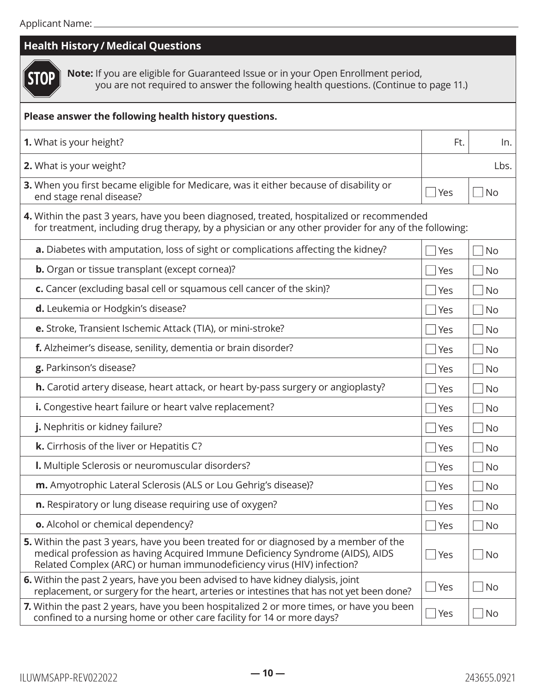| <b>Health History / Medical Questions</b>                                                                                                                                                                                                        |              |                             |  |  |
|--------------------------------------------------------------------------------------------------------------------------------------------------------------------------------------------------------------------------------------------------|--------------|-----------------------------|--|--|
| Note: If you are eligible for Guaranteed Issue or in your Open Enrollment period,<br>'OP<br>you are not required to answer the following health questions. (Continue to page 11.)                                                                |              |                             |  |  |
| Please answer the following health history questions.                                                                                                                                                                                            |              |                             |  |  |
| 1. What is your height?                                                                                                                                                                                                                          | Ft.          | In.                         |  |  |
| 2. What is your weight?                                                                                                                                                                                                                          |              | Lbs.                        |  |  |
| 3. When you first became eligible for Medicare, was it either because of disability or<br>end stage renal disease?                                                                                                                               | Yes          | $\overline{\phantom{a}}$ No |  |  |
| 4. Within the past 3 years, have you been diagnosed, treated, hospitalized or recommended<br>for treatment, including drug therapy, by a physician or any other provider for any of the following:                                               |              |                             |  |  |
| a. Diabetes with amputation, loss of sight or complications affecting the kidney?                                                                                                                                                                | <b>P</b> Yes | <b>No</b>                   |  |  |
| <b>b.</b> Organ or tissue transplant (except cornea)?                                                                                                                                                                                            | Yes          | $ $ No                      |  |  |
| c. Cancer (excluding basal cell or squamous cell cancer of the skin)?                                                                                                                                                                            | Yes          | $ $ No                      |  |  |
| d. Leukemia or Hodgkin's disease?                                                                                                                                                                                                                | Yes          | N <sub>O</sub>              |  |  |
| e. Stroke, Transient Ischemic Attack (TIA), or mini-stroke?                                                                                                                                                                                      | Γ∣Yes        | $\overline{\phantom{a}}$ No |  |  |
| f. Alzheimer's disease, senility, dementia or brain disorder?                                                                                                                                                                                    | $\Box$ Yes   | $\overline{\phantom{a}}$ No |  |  |
| g. Parkinson's disease?                                                                                                                                                                                                                          | l Yes        | No                          |  |  |
| h. Carotid artery disease, heart attack, or heart by-pass surgery or angioplasty?                                                                                                                                                                | <b>P</b> Yes | N <sub>O</sub>              |  |  |
| i. Congestive heart failure or heart valve replacement?                                                                                                                                                                                          | Yes          | $ $ No                      |  |  |
| j. Nephritis or kidney failure?                                                                                                                                                                                                                  | $\Box$ Yes   | $\Box$ No                   |  |  |
| k. Cirrhosis of the liver or Hepatitis C?                                                                                                                                                                                                        | $\Box$ Yes   | No                          |  |  |
| I. Multiple Sclerosis or neuromuscular disorders?                                                                                                                                                                                                | $\vert$ Yes  | $ $ No                      |  |  |
| m. Amyotrophic Lateral Sclerosis (ALS or Lou Gehrig's disease)?                                                                                                                                                                                  | Yes          | <b>No</b>                   |  |  |
| n. Respiratory or lung disease requiring use of oxygen?                                                                                                                                                                                          | $\Box$ Yes   | $\blacksquare$ No           |  |  |
| o. Alcohol or chemical dependency?                                                                                                                                                                                                               | $\Box$ Yes   | No                          |  |  |
| 5. Within the past 3 years, have you been treated for or diagnosed by a member of the<br>medical profession as having Acquired Immune Deficiency Syndrome (AIDS), AIDS<br>Related Complex (ARC) or human immunodeficiency virus (HIV) infection? | Yes          | $\overline{\phantom{a}}$ No |  |  |
| 6. Within the past 2 years, have you been advised to have kidney dialysis, joint<br>replacement, or surgery for the heart, arteries or intestines that has not yet been done?                                                                    | Yes          | $ $ No                      |  |  |
| 7. Within the past 2 years, have you been hospitalized 2 or more times, or have you been<br>confined to a nursing home or other care facility for 14 or more days?                                                                               | Yes          | $\Box$ No                   |  |  |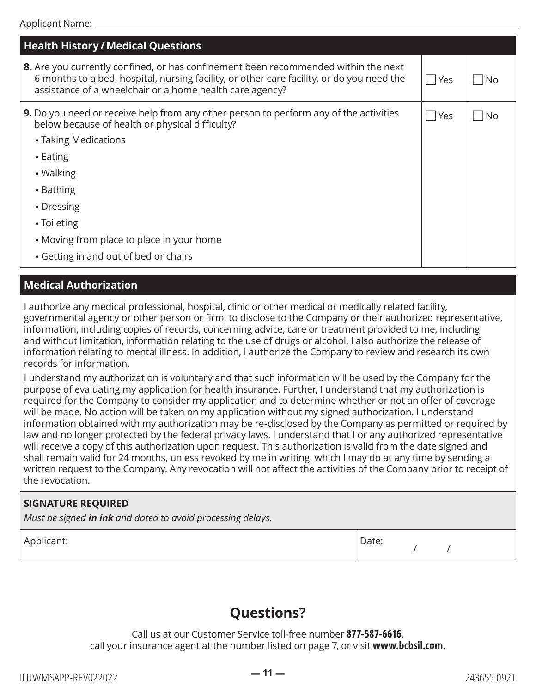| <b>Health History / Medical Questions</b>                                                                                                                                                                                                   |     |    |
|---------------------------------------------------------------------------------------------------------------------------------------------------------------------------------------------------------------------------------------------|-----|----|
| 8. Are you currently confined, or has confinement been recommended within the next<br>6 months to a bed, hospital, nursing facility, or other care facility, or do you need the<br>assistance of a wheelchair or a home health care agency? | Yes | No |
| <b>9.</b> Do you need or receive help from any other person to perform any of the activities<br>below because of health or physical difficulty?                                                                                             | Yes | No |
| • Taking Medications                                                                                                                                                                                                                        |     |    |
| $\cdot$ Eating                                                                                                                                                                                                                              |     |    |
| • Walking                                                                                                                                                                                                                                   |     |    |
| • Bathing                                                                                                                                                                                                                                   |     |    |
| • Dressing                                                                                                                                                                                                                                  |     |    |
| • Toileting                                                                                                                                                                                                                                 |     |    |
| • Moving from place to place in your home                                                                                                                                                                                                   |     |    |
| • Getting in and out of bed or chairs                                                                                                                                                                                                       |     |    |

## **Medical Authorization**

I authorize any medical professional, hospital, clinic or other medical or medically related facility, governmental agency or other person or firm, to disclose to the Company or their authorized representative, information, including copies of records, concerning advice, care or treatment provided to me, including and without limitation, information relating to the use of drugs or alcohol. I also authorize the release of information relating to mental illness. In addition, I authorize the Company to review and research its own records for information.

I understand my authorization is voluntary and that such information will be used by the Company for the purpose of evaluating my application for health insurance. Further, I understand that my authorization is required for the Company to consider my application and to determine whether or not an offer of coverage will be made. No action will be taken on my application without my signed authorization. I understand information obtained with my authorization may be re-disclosed by the Company as permitted or required by law and no longer protected by the federal privacy laws. I understand that I or any authorized representative will receive a copy of this authorization upon request. This authorization is valid from the date signed and shall remain valid for 24 months, unless revoked by me in writing, which I may do at any time by sending a written request to the Company. Any revocation will not affect the activities of the Company prior to receipt of the revocation.

## **SIGNATURE REQUIRED**

*Must be signed in ink and dated to avoid processing delays.*

Applicant:  $\qquad \qquad$  Date:

/ /

# **Questions?**

Call us at our Customer Service toll-free number **877-587-6616**, call your insurance agent at the number listed on page 7, or visit **[www.bcbsil.com](http://www.bcbsil.com)**.